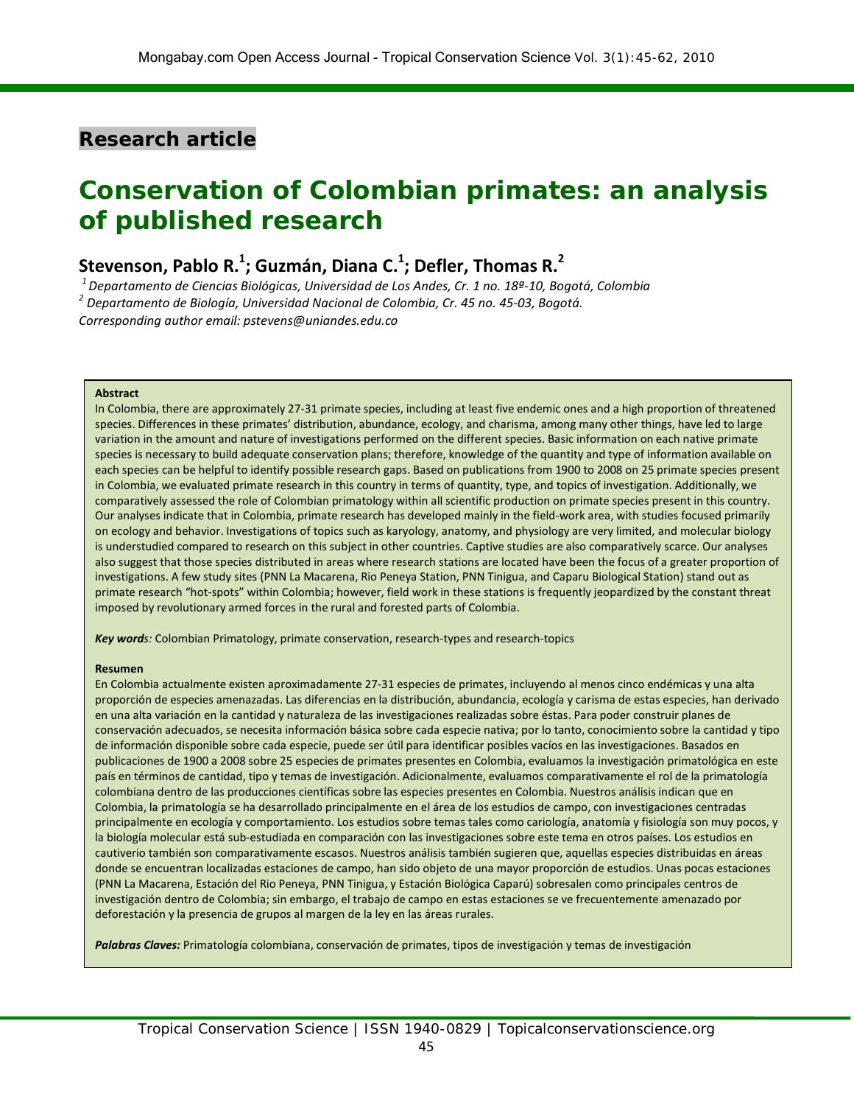# **Research article**

# **Conservation of Colombian primates: an analysis of published research**

# **Stevenson, Pablo R.1 ; Guzmán, Diana C.1 ; Defler, Thomas R.<sup>2</sup>**

*1 Departamento de Ciencias Biológicas, Universidad de Los Andes, Cr. 1 no. 18ª-10, Bogotá, Colombia <sup>2</sup> Departamento de Biología, Universidad Nacional de Colombia, Cr. 45 no. 45-03, Bogotá. Corresponding author email: [pstevens@uniandes.edu.co](mailto:pstevens@uniandes.edu.co)*

#### **Abstract**

In Colombia, there are approximately 27-31 primate species, including at least five endemic ones and a high proportion of threatened species. Differences in these primates' distribution, abundance, ecology, and charisma, among many other things, have led to large variation in the amount and nature of investigations performed on the different species. Basic information on each native primate species is necessary to build adequate conservation plans; therefore, knowledge of the quantity and type of information available on each species can be helpful to identify possible research gaps. Based on publications from 1900 to 2008 on 25 primate species present in Colombia, we evaluated primate research in this country in terms of quantity, type, and topics of investigation. Additionally, we comparatively assessed the role of Colombian primatology within all scientific production on primate species present in this country. Our analyses indicate that in Colombia, primate research has developed mainly in the field-work area, with studies focused primarily on ecology and behavior. Investigations of topics such as karyology, anatomy, and physiology are very limited, and molecular biology is understudied compared to research on this subject in other countries. Captive studies are also comparatively scarce. Our analyses also suggest that those species distributed in areas where research stations are located have been the focus of a greater proportion of investigations. A few study sites (PNN La Macarena, Rio Peneya Station, PNN Tinigua, and Caparu Biological Station) stand out as primate research "hot-spots" within Colombia; however, field work in these stations is frequently jeopardized by the constant threat imposed by revolutionary armed forces in the rural and forested parts of Colombia.

*Key words:* Colombian Primatology, primate conservation, research-types and research-topics

#### **Resumen**

En Colombia actualmente existen aproximadamente 27-31 especies de primates, incluyendo al menos cinco endémicas y una alta proporción de especies amenazadas. Las diferencias en la distribución, abundancia, ecología y carisma de estas especies, han derivado en una alta variación en la cantidad y naturaleza de las investigaciones realizadas sobre éstas. Para poder construir planes de conservación adecuados, se necesita información básica sobre cada especie nativa; por lo tanto, conocimiento sobre la cantidad y tipo de información disponible sobre cada especie, puede ser útil para identificar posibles vacíos en las investigaciones. Basados en publicaciones de 1900 a 2008 sobre 25 especies de primates presentes en Colombia, evaluamos la investigación primatológica en este país en términos de cantidad, tipo y temas de investigación. Adicionalmente, evaluamos comparativamente el rol de la primatología colombiana dentro de las producciones científicas sobre las especies presentes en Colombia. Nuestros análisis indican que en Colombia, la primatología se ha desarrollado principalmente en el área de los estudios de campo, con investigaciones centradas principalmente en ecología y comportamiento. Los estudios sobre temas tales como cariología, anatomía y fisiología son muy pocos, y la biología molecular está sub-estudiada en comparación con las investigaciones sobre este tema en otros países. Los estudios en cautiverio también son comparativamente escasos. Nuestros análisis también sugieren que, aquellas especies distribuidas en áreas donde se encuentran localizadas estaciones de campo, han sido objeto de una mayor proporción de estudios. Unas pocas estaciones (PNN La Macarena, Estación del Rio Peneya, PNN Tinigua, y Estación Biológica Caparú) sobresalen como principales centros de investigación dentro de Colombia; sin embargo, el trabajo de campo en estas estaciones se ve frecuentemente amenazado por deforestación y la presencia de grupos al margen de la ley en las áreas rurales.

*Palabras Claves:* Primatología colombiana, conservación de primates, tipos de investigación y temas de investigación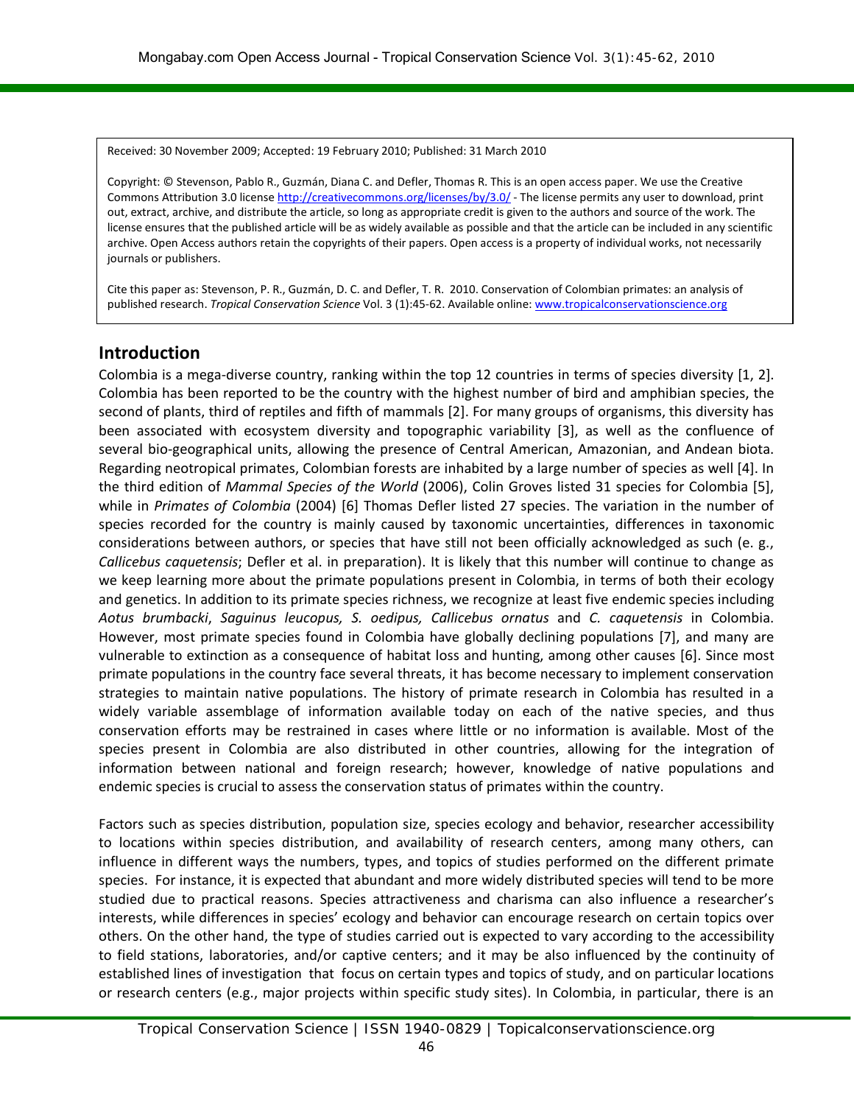Received: 30 November 2009; Accepted: 19 February 2010; Published: 31 March 2010

Copyright: © Stevenson, Pablo R., Guzmán, Diana C. and Defler, Thomas R. This is an open access paper. We use the Creative Commons Attribution 3.0 licens[e http://creativecommons.org/licenses/by/3.0/](http://creativecommons.org/licenses/by/3.0/) - The license permits any user to download, print out, extract, archive, and distribute the article, so long as appropriate credit is given to the authors and source of the work. The license ensures that the published article will be as widely available as possible and that the article can be included in any scientific archive. Open Access authors retain the copyrights of their papers. Open access is a property of individual works, not necessarily journals or publishers.

Cite this paper as: Stevenson, P. R., Guzmán, D. C. and Defler, T. R. 2010. Conservation of Colombian primates: an analysis of published research. *Tropical Conservation Science* Vol. 3 (1):45-62. Available online: [www.tropicalconservationscience.org](http://www.tropicalconservationscience.org/)

# **Introduction**

Colombia is a mega-diverse country, ranking within the top 12 countries in terms of species diversity [1, 2]. Colombia has been reported to be the country with the highest number of bird and amphibian species, the second of plants, third of reptiles and fifth of mammals [2]. For many groups of organisms, this diversity has been associated with ecosystem diversity and topographic variability [3], as well as the confluence of several bio-geographical units, allowing the presence of Central American, Amazonian, and Andean biota. Regarding neotropical primates, Colombian forests are inhabited by a large number of species as well [4]. In the third edition of *Mammal Species of the World* (2006), Colin Groves listed 31 species for Colombia [5], while in *Primates of Colombia* (2004) [6] Thomas Defler listed 27 species. The variation in the number of species recorded for the country is mainly caused by taxonomic uncertainties, differences in taxonomic considerations between authors, or species that have still not been officially acknowledged as such (e. g., *Callicebus caquetensis*; Defler et al. in preparation). It is likely that this number will continue to change as we keep learning more about the primate populations present in Colombia, in terms of both their ecology and genetics. In addition to its primate species richness, we recognize at least five endemic species including *Aotus brumbacki*, *Saguinus leucopus, S. oedipus, Callicebus ornatus* and *C. caquetensis* in Colombia. However, most primate species found in Colombia have globally declining populations [7], and many are vulnerable to extinction as a consequence of habitat loss and hunting, among other causes [6]. Since most primate populations in the country face several threats, it has become necessary to implement conservation strategies to maintain native populations. The history of primate research in Colombia has resulted in a widely variable assemblage of information available today on each of the native species, and thus conservation efforts may be restrained in cases where little or no information is available. Most of the species present in Colombia are also distributed in other countries, allowing for the integration of information between national and foreign research; however, knowledge of native populations and endemic species is crucial to assess the conservation status of primates within the country.

Factors such as species distribution, population size, species ecology and behavior, researcher accessibility to locations within species distribution, and availability of research centers, among many others, can influence in different ways the numbers, types, and topics of studies performed on the different primate species. For instance, it is expected that abundant and more widely distributed species will tend to be more studied due to practical reasons. Species attractiveness and charisma can also influence a researcher's interests, while differences in species' ecology and behavior can encourage research on certain topics over others. On the other hand, the type of studies carried out is expected to vary according to the accessibility to field stations, laboratories, and/or captive centers; and it may be also influenced by the continuity of established lines of investigation that focus on certain types and topics of study, and on particular locations or research centers (e.g., major projects within specific study sites). In Colombia, in particular, there is an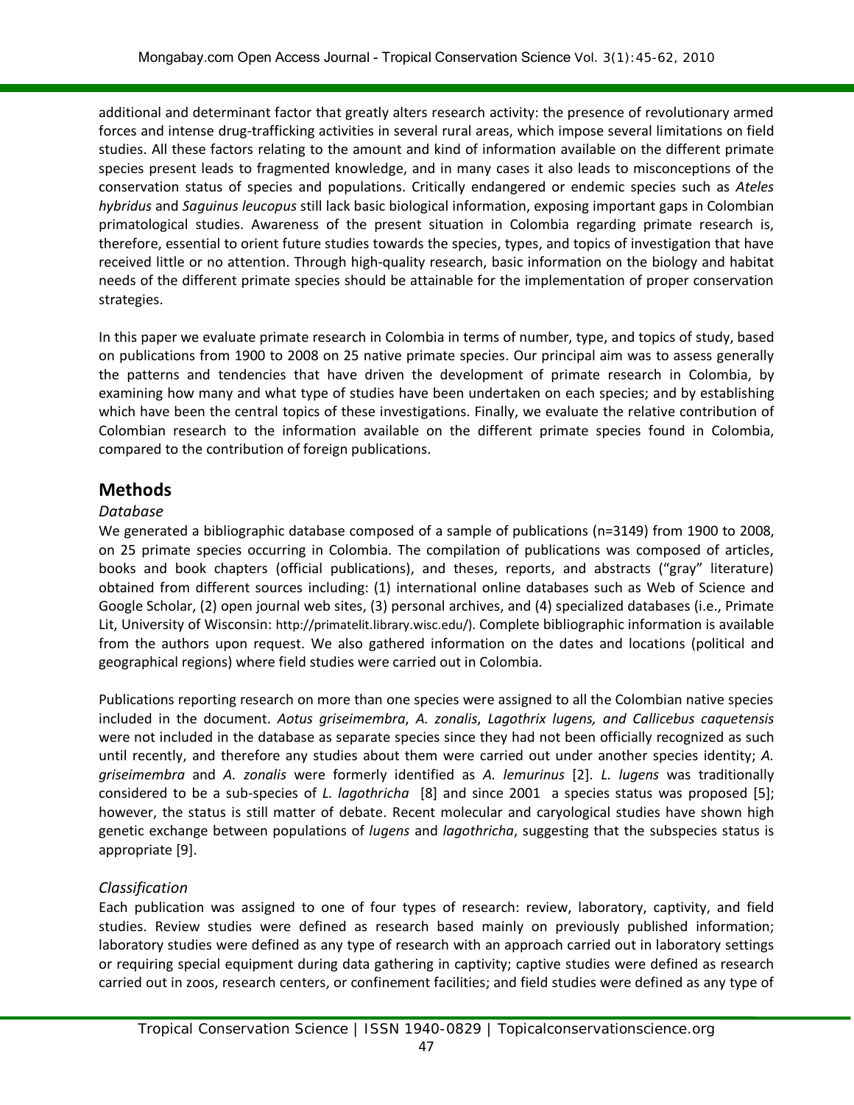additional and determinant factor that greatly alters research activity: the presence of revolutionary armed forces and intense drug-trafficking activities in several rural areas, which impose several limitations on field studies. All these factors relating to the amount and kind of information available on the different primate species present leads to fragmented knowledge, and in many cases it also leads to misconceptions of the conservation status of species and populations. Critically endangered or endemic species such as *Ateles hybridus* and *Saguinus leucopus* still lack basic biological information, exposing important gaps in Colombian primatological studies. Awareness of the present situation in Colombia regarding primate research is, therefore, essential to orient future studies towards the species, types, and topics of investigation that have received little or no attention. Through high-quality research, basic information on the biology and habitat needs of the different primate species should be attainable for the implementation of proper conservation strategies.

In this paper we evaluate primate research in Colombia in terms of number, type, and topics of study, based on publications from 1900 to 2008 on 25 native primate species. Our principal aim was to assess generally the patterns and tendencies that have driven the development of primate research in Colombia, by examining how many and what type of studies have been undertaken on each species; and by establishing which have been the central topics of these investigations. Finally, we evaluate the relative contribution of Colombian research to the information available on the different primate species found in Colombia, compared to the contribution of foreign publications.

# **Methods**

#### *Database*

We generated a bibliographic database composed of a sample of publications (n=3149) from 1900 to 2008, on 25 primate species occurring in Colombia. The compilation of publications was composed of articles, books and book chapters (official publications), and theses, reports, and abstracts ("gray" literature) obtained from different sources including: (1) international online databases such as Web of Science and Google Scholar, (2) open journal web sites, (3) personal archives, and (4) specialized databases (i.e., Primate Lit, University of Wisconsin: http://primatelit.library.wisc.edu/). Complete bibliographic information is available from the authors upon request. We also gathered information on the dates and locations (political and geographical regions) where field studies were carried out in Colombia.

Publications reporting research on more than one species were assigned to all the Colombian native species included in the document. *Aotus griseimembra*, *A. zonalis*, *Lagothrix lugens, and Callicebus caquetensis* were not included in the database as separate species since they had not been officially recognized as such until recently, and therefore any studies about them were carried out under another species identity; *A. griseimembra* and *A. zonalis* were formerly identified as *A. lemurinus* [2]. *L. lugens* was traditionally considered to be a sub-species of *L. lagothricha* [8] and since 2001 a species status was proposed [5]; however, the status is still matter of debate. Recent molecular and caryological studies have shown high genetic exchange between populations of *lugens* and *lagothricha*, suggesting that the subspecies status is appropriate [9].

### *Classification*

Each publication was assigned to one of four types of research: review, laboratory, captivity, and field studies. Review studies were defined as research based mainly on previously published information; laboratory studies were defined as any type of research with an approach carried out in laboratory settings or requiring special equipment during data gathering in captivity; captive studies were defined as research carried out in zoos, research centers, or confinement facilities; and field studies were defined as any type of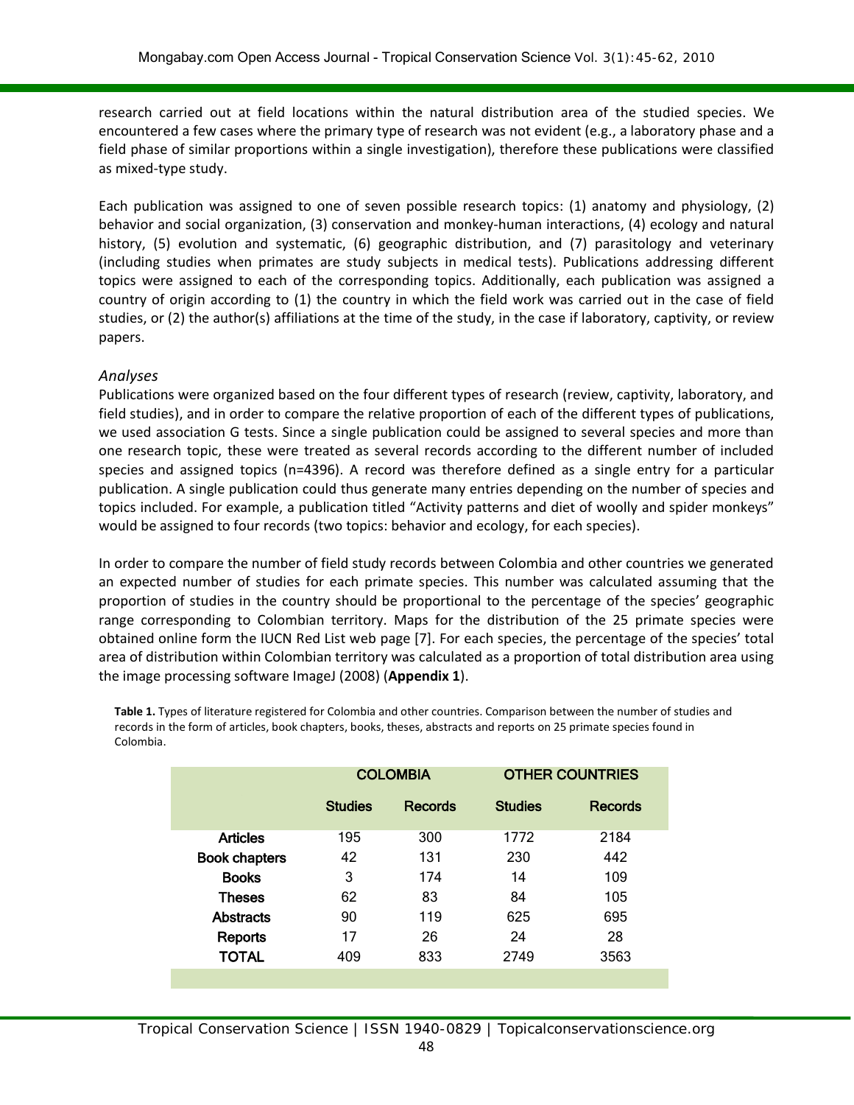research carried out at field locations within the natural distribution area of the studied species. We encountered a few cases where the primary type of research was not evident (e.g., a laboratory phase and a field phase of similar proportions within a single investigation), therefore these publications were classified as mixed-type study.

Each publication was assigned to one of seven possible research topics: (1) anatomy and physiology, (2) behavior and social organization, (3) conservation and monkey-human interactions, (4) ecology and natural history, (5) evolution and systematic, (6) geographic distribution, and (7) parasitology and veterinary (including studies when primates are study subjects in medical tests). Publications addressing different topics were assigned to each of the corresponding topics. Additionally, each publication was assigned a country of origin according to (1) the country in which the field work was carried out in the case of field studies, or (2) the author(s) affiliations at the time of the study, in the case if laboratory, captivity, or review papers.

### *Analyses*

Publications were organized based on the four different types of research (review, captivity, laboratory, and field studies), and in order to compare the relative proportion of each of the different types of publications, we used association G tests. Since a single publication could be assigned to several species and more than one research topic, these were treated as several records according to the different number of included species and assigned topics (n=4396). A record was therefore defined as a single entry for a particular publication. A single publication could thus generate many entries depending on the number of species and topics included. For example, a publication titled "Activity patterns and diet of woolly and spider monkeys" would be assigned to four records (two topics: behavior and ecology, for each species).

In order to compare the number of field study records between Colombia and other countries we generated an expected number of studies for each primate species. This number was calculated assuming that the proportion of studies in the country should be proportional to the percentage of the species' geographic range corresponding to Colombian territory. Maps for the distribution of the 25 primate species were obtained online form the IUCN Red List web page [7]. For each species, the percentage of the species' total area of distribution within Colombian territory was calculated as a proportion of total distribution area using the image processing software ImageJ (2008) (**Appendix 1**).

**Table 1.** Types of literature registered for Colombia and other countries. Comparison between the number of studies and records in the form of articles, book chapters, books, theses, abstracts and reports on 25 primate species found in Colombia.

|                      |                           | <b>COLOMBIA</b> | <b>OTHER COUNTRIES</b> |         |  |  |
|----------------------|---------------------------|-----------------|------------------------|---------|--|--|
|                      | <b>Studies</b><br>Records |                 | <b>Studies</b>         | Records |  |  |
| <b>Articles</b>      | 195                       | 300             | 1772                   | 2184    |  |  |
| <b>Book chapters</b> | 42                        | 131             | 230                    | 442     |  |  |
| <b>Books</b>         | 3                         | 174             | 14                     | 109     |  |  |
| <b>Theses</b>        | 62                        | 83              | 84                     | 105     |  |  |
| <b>Abstracts</b>     | 90                        | 119             | 625                    | 695     |  |  |
| Reports              | 17                        | 26              | 24                     | 28      |  |  |
| <b>TOTAL</b>         | 409                       | 833             | 2749                   | 3563    |  |  |
|                      |                           |                 |                        |         |  |  |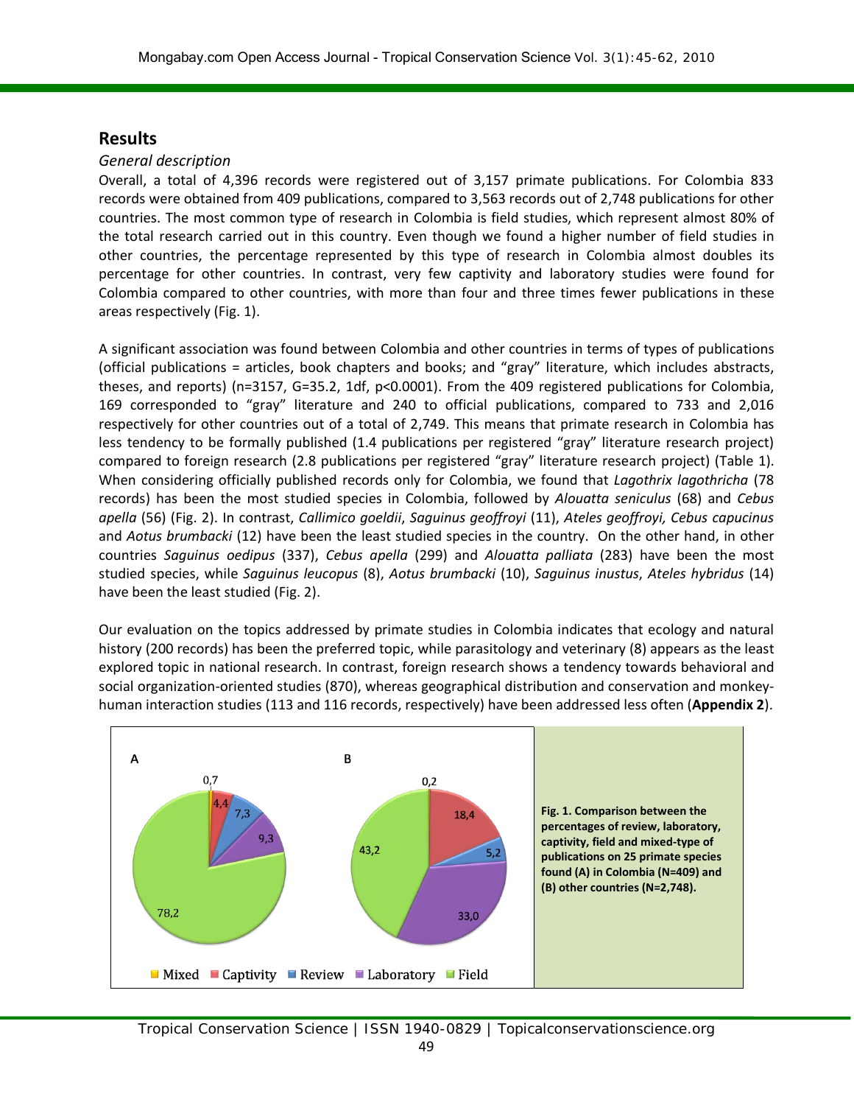# **Results**

### *General description*

Overall, a total of 4,396 records were registered out of 3,157 primate publications. For Colombia 833 records were obtained from 409 publications, compared to 3,563 records out of 2,748 publications for other countries. The most common type of research in Colombia is field studies, which represent almost 80% of the total research carried out in this country. Even though we found a higher number of field studies in other countries, the percentage represented by this type of research in Colombia almost doubles its percentage for other countries. In contrast, very few captivity and laboratory studies were found for Colombia compared to other countries, with more than four and three times fewer publications in these areas respectively (Fig. 1).

A significant association was found between Colombia and other countries in terms of types of publications (official publications = articles, book chapters and books; and "gray" literature, which includes abstracts, theses, and reports) (n=3157, G=35.2, 1df, p<0.0001). From the 409 registered publications for Colombia, 169 corresponded to "gray" literature and 240 to official publications, compared to 733 and 2,016 respectively for other countries out of a total of 2,749. This means that primate research in Colombia has less tendency to be formally published (1.4 publications per registered "gray" literature research project) compared to foreign research (2.8 publications per registered "gray" literature research project) (Table 1). When considering officially published records only for Colombia, we found that *Lagothrix lagothricha* (78 records) has been the most studied species in Colombia, followed by *Alouatta seniculus* (68) and *Cebus apella* (56) (Fig. 2). In contrast, *Callimico goeldii*, *Saguinus geoffroyi* (11), *Ateles geoffroyi, Cebus capucinus*  and *Aotus brumbacki* (12) have been the least studied species in the country. On the other hand, in other countries *Saguinus oedipus* (337), *Cebus apella* (299) and *Alouatta palliata* (283) have been the most studied species, while *Saguinus leucopus* (8), *Aotus brumbacki* (10), *Saguinus inustus*, *Ateles hybridus* (14) have been the least studied (Fig. 2).

Our evaluation on the topics addressed by primate studies in Colombia indicates that ecology and natural history (200 records) has been the preferred topic, while parasitology and veterinary (8) appears as the least explored topic in national research. In contrast, foreign research shows a tendency towards behavioral and social organization-oriented studies (870), whereas geographical distribution and conservation and monkeyhuman interaction studies (113 and 116 records, respectively) have been addressed less often (**Appendix 2**).

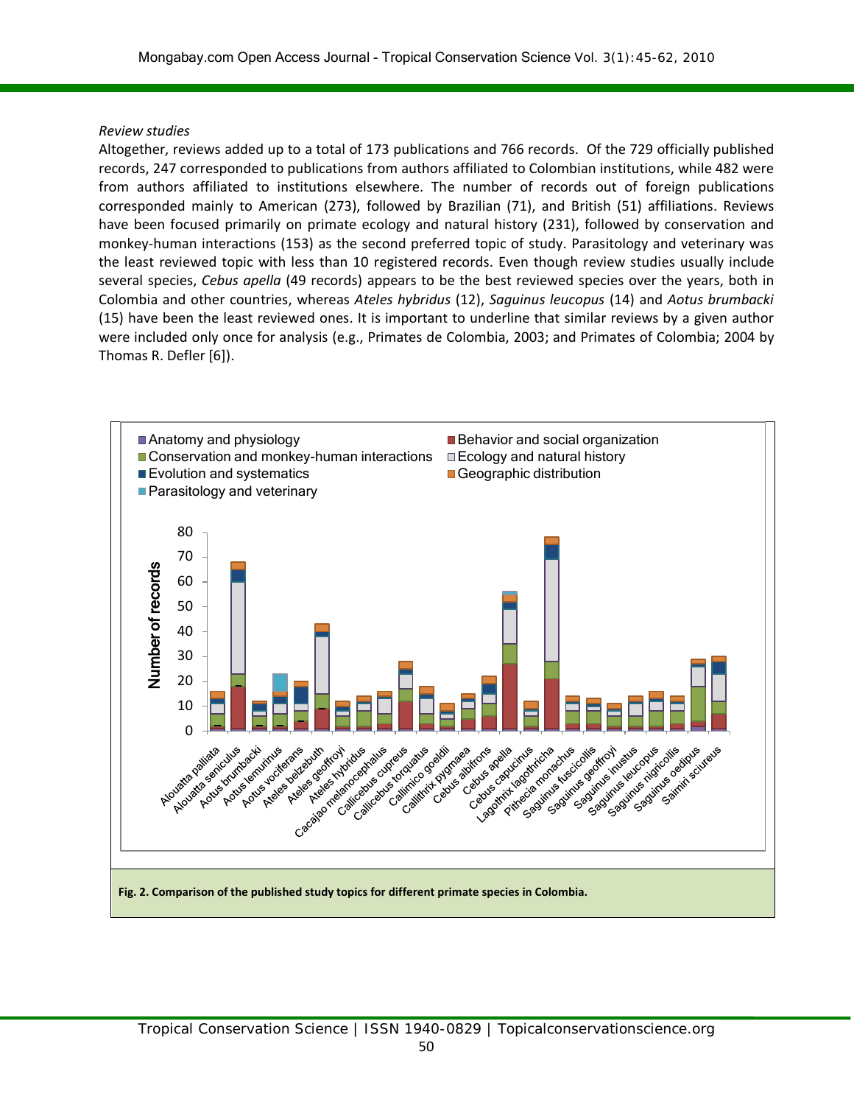#### *Review studies*

Altogether, reviews added up to a total of 173 publications and 766 records. Of the 729 officially published records, 247 corresponded to publications from authors affiliated to Colombian institutions, while 482 were from authors affiliated to institutions elsewhere. The number of records out of foreign publications corresponded mainly to American (273), followed by Brazilian (71), and British (51) affiliations. Reviews have been focused primarily on primate ecology and natural history (231), followed by conservation and monkey-human interactions (153) as the second preferred topic of study. Parasitology and veterinary was the least reviewed topic with less than 10 registered records. Even though review studies usually include several species, *Cebus apella* (49 records) appears to be the best reviewed species over the years, both in Colombia and other countries, whereas *Ateles hybridus* (12), *Saguinus leucopus* (14) and *Aotus brumbacki* (15) have been the least reviewed ones. It is important to underline that similar reviews by a given author were included only once for analysis (e.g., Primates de Colombia, 2003; and Primates of Colombia; 2004 by Thomas R. Defler [6]).

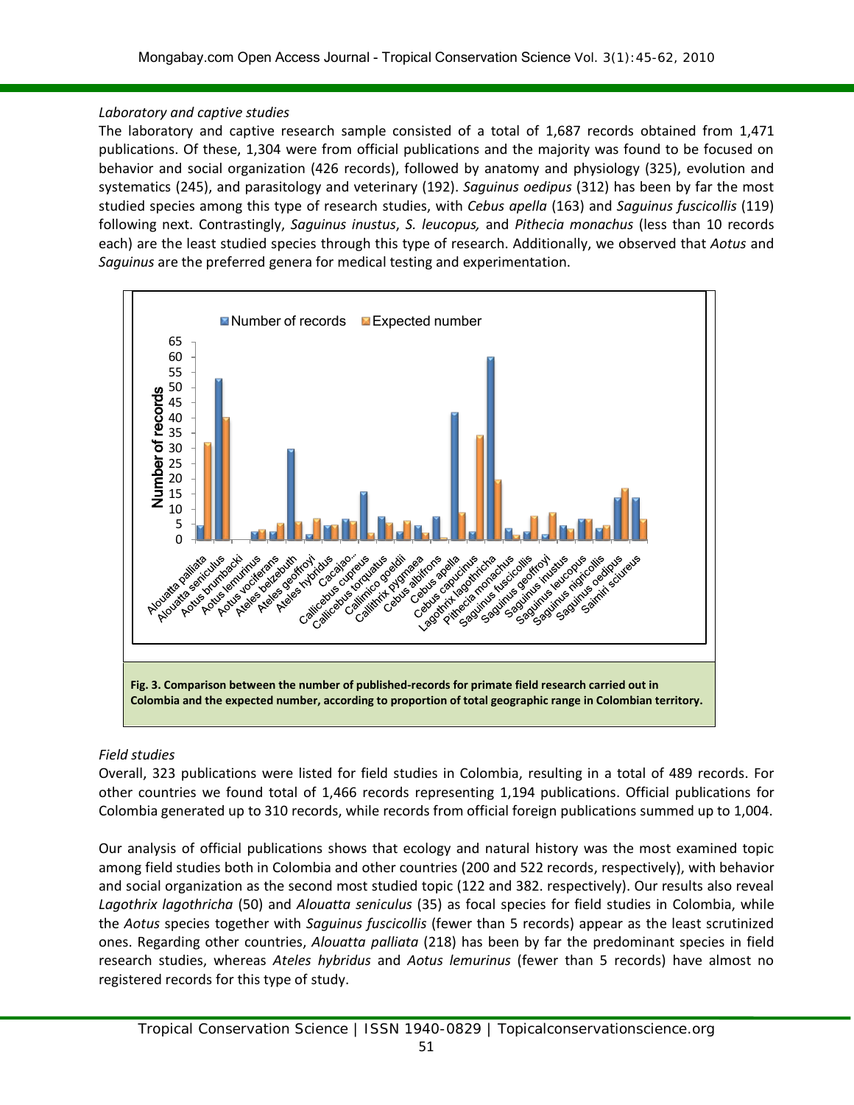#### *Laboratory and captive studies*

The laboratory and captive research sample consisted of a total of 1,687 records obtained from 1,471 publications. Of these, 1,304 were from official publications and the majority was found to be focused on behavior and social organization (426 records), followed by anatomy and physiology (325), evolution and systematics (245), and parasitology and veterinary (192). *Saguinus oedipus* (312) has been by far the most studied species among this type of research studies, with *Cebus apella* (163) and *Saguinus fuscicollis* (119) following next. Contrastingly, *Saguinus inustus*, *S. leucopus,* and *Pithecia monachus* (less than 10 records each) are the least studied species through this type of research. Additionally, we observed that *Aotus* and *Saguinus* are the preferred genera for medical testing and experimentation.



#### *Field studies*

Overall, 323 publications were listed for field studies in Colombia, resulting in a total of 489 records. For other countries we found total of 1,466 records representing 1,194 publications. Official publications for Colombia generated up to 310 records, while records from official foreign publications summed up to 1,004.

Our analysis of official publications shows that ecology and natural history was the most examined topic among field studies both in Colombia and other countries (200 and 522 records, respectively), with behavior and social organization as the second most studied topic (122 and 382. respectively). Our results also reveal *Lagothrix lagothricha* (50) and *Alouatta seniculus* (35) as focal species for field studies in Colombia, while the *Aotus* species together with *Saguinus fuscicollis* (fewer than 5 records) appear as the least scrutinized ones. Regarding other countries, *Alouatta palliata* (218) has been by far the predominant species in field research studies, whereas *Ateles hybridus* and *Aotus lemurinus* (fewer than 5 records) have almost no registered records for this type of study.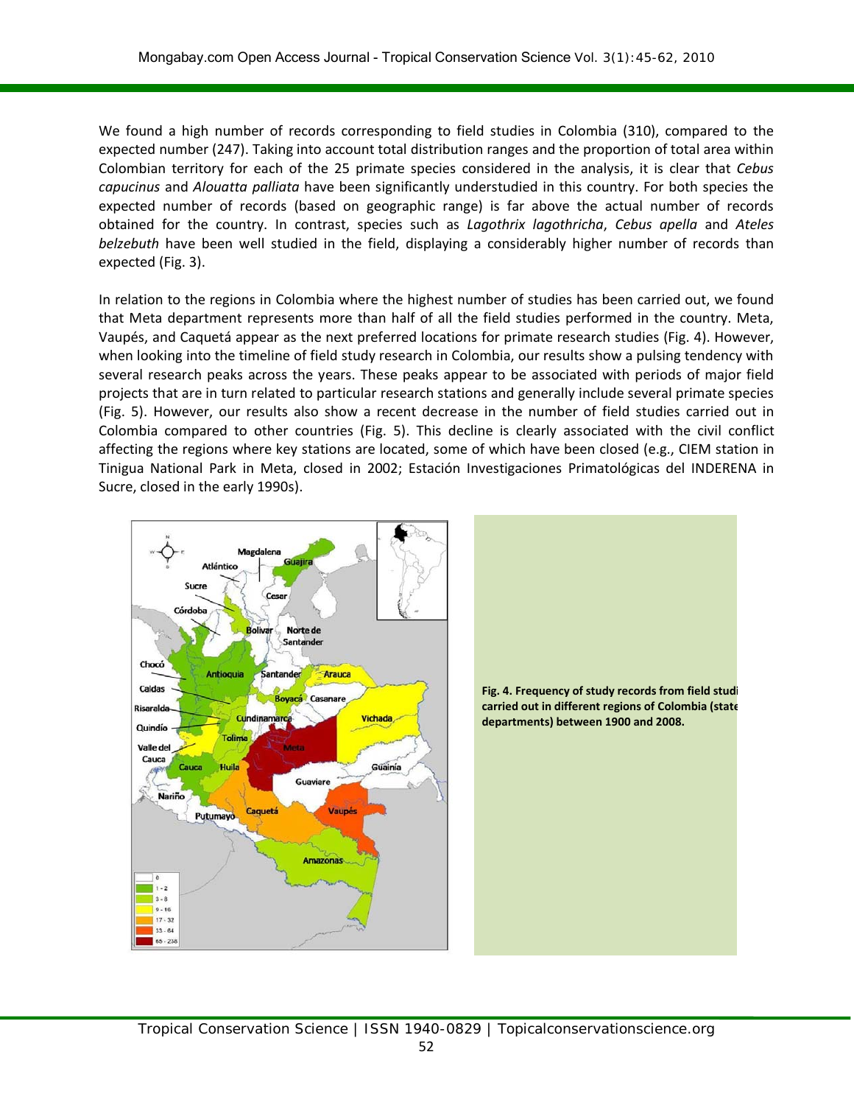We found a high number of records corresponding to field studies in Colombia (310), compared to the expected number (247). Taking into account total distribution ranges and the proportion of total area within Colombian territory for each of the 25 primate species considered in the analysis, it is clear that *Cebus capucinus* and *Alouatta palliata* have been significantly understudied in this country. For both species the expected number of records (based on geographic range) is far above the actual number of records obtained for the country. In contrast, species such as *Lagothrix lagothricha*, *Cebus apella* and *Ateles belzebuth* have been well studied in the field, displaying a considerably higher number of records than expected (Fig. 3).

In relation to the regions in Colombia where the highest number of studies has been carried out, we found that Meta department represents more than half of all the field studies performed in the country. Meta, Vaupés, and Caquetá appear as the next preferred locations for primate research studies (Fig. 4). However, when looking into the timeline of field study research in Colombia, our results show a pulsing tendency with several research peaks across the years. These peaks appear to be associated with periods of major field projects that are in turn related to particular research stations and generally include several primate species (Fig. 5). However, our results also show a recent decrease in the number of field studies carried out in Colombia compared to other countries (Fig. 5). This decline is clearly associated with the civil conflict affecting the regions where key stations are located, some of which have been closed (e.g., CIEM station in Tinigua National Park in Meta, closed in 2002; Estación Investigaciones Primatológicas del INDERENA in Sucre, closed in the early 1990s).



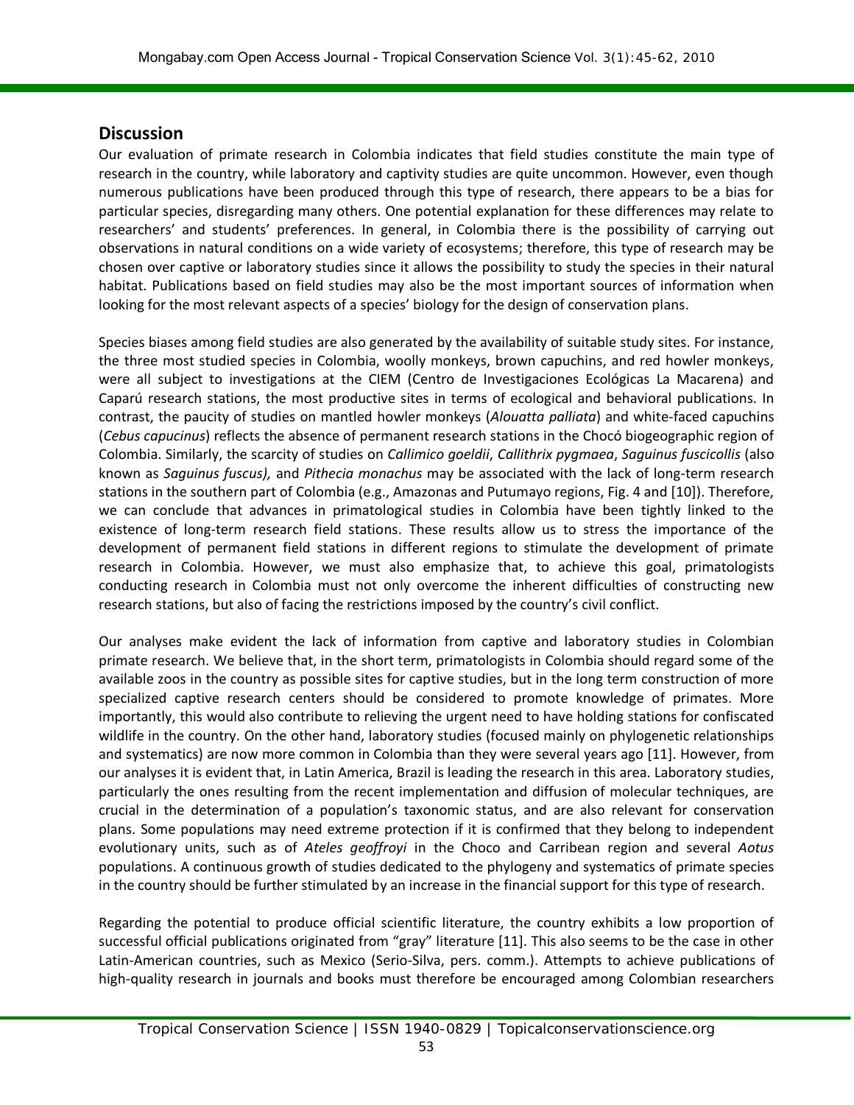## **Discussion**

Our evaluation of primate research in Colombia indicates that field studies constitute the main type of research in the country, while laboratory and captivity studies are quite uncommon. However, even though numerous publications have been produced through this type of research, there appears to be a bias for particular species, disregarding many others. One potential explanation for these differences may relate to researchers' and students' preferences. In general, in Colombia there is the possibility of carrying out observations in natural conditions on a wide variety of ecosystems; therefore, this type of research may be chosen over captive or laboratory studies since it allows the possibility to study the species in their natural habitat. Publications based on field studies may also be the most important sources of information when looking for the most relevant aspects of a species' biology for the design of conservation plans.

Species biases among field studies are also generated by the availability of suitable study sites. For instance, the three most studied species in Colombia, woolly monkeys, brown capuchins, and red howler monkeys, were all subject to investigations at the CIEM (Centro de Investigaciones Ecológicas La Macarena) and Caparú research stations, the most productive sites in terms of ecological and behavioral publications. In contrast, the paucity of studies on mantled howler monkeys (*Alouatta palliata*) and white-faced capuchins (*Cebus capucinus*) reflects the absence of permanent research stations in the Chocó biogeographic region of Colombia. Similarly, the scarcity of studies on *Callimico goeldii*, *Callithrix pygmaea*, *Saguinus fuscicollis* (also known as *Saguinus fuscus),* and *Pithecia monachus* may be associated with the lack of long-term research stations in the southern part of Colombia (e.g., Amazonas and Putumayo regions, Fig. 4 and [10]). Therefore, we can conclude that advances in primatological studies in Colombia have been tightly linked to the existence of long-term research field stations. These results allow us to stress the importance of the development of permanent field stations in different regions to stimulate the development of primate research in Colombia. However, we must also emphasize that, to achieve this goal, primatologists conducting research in Colombia must not only overcome the inherent difficulties of constructing new research stations, but also of facing the restrictions imposed by the country's civil conflict.

Our analyses make evident the lack of information from captive and laboratory studies in Colombian primate research. We believe that, in the short term, primatologists in Colombia should regard some of the available zoos in the country as possible sites for captive studies, but in the long term construction of more specialized captive research centers should be considered to promote knowledge of primates. More importantly, this would also contribute to relieving the urgent need to have holding stations for confiscated wildlife in the country. On the other hand, laboratory studies (focused mainly on phylogenetic relationships and systematics) are now more common in Colombia than they were several years ago [11]. However, from our analyses it is evident that, in Latin America, Brazil is leading the research in this area. Laboratory studies, particularly the ones resulting from the recent implementation and diffusion of molecular techniques, are crucial in the determination of a population's taxonomic status, and are also relevant for conservation plans. Some populations may need extreme protection if it is confirmed that they belong to independent evolutionary units, such as of *Ateles geoffroyi* in the Choco and Carribean region and several *Aotus*  populations. A continuous growth of studies dedicated to the phylogeny and systematics of primate species in the country should be further stimulated by an increase in the financial support for this type of research.

Regarding the potential to produce official scientific literature, the country exhibits a low proportion of successful official publications originated from "gray" literature [11]. This also seems to be the case in other Latin-American countries, such as Mexico (Serio-Silva, pers. comm.). Attempts to achieve publications of high-quality research in journals and books must therefore be encouraged among Colombian researchers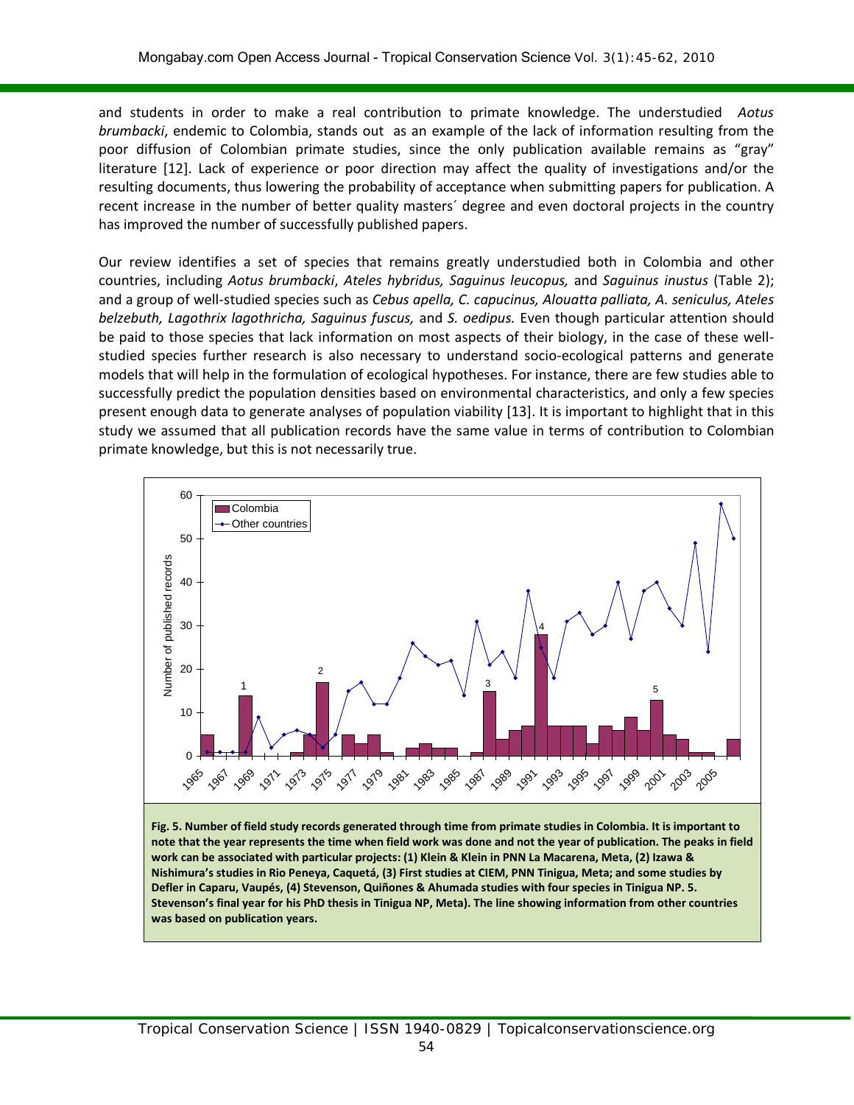and students in order to make a real contribution to primate knowledge. The understudied *Aotus brumbacki*, endemic to Colombia, stands out as an example of the lack of information resulting from the poor diffusion of Colombian primate studies, since the only publication available remains as "gray" literature [12]. Lack of experience or poor direction may affect the quality of investigations and/or the resulting documents, thus lowering the probability of acceptance when submitting papers for publication. A recent increase in the number of better quality masters´ degree and even doctoral projects in the country has improved the number of successfully published papers.

Our review identifies a set of species that remains greatly understudied both in Colombia and other countries, including *Aotus brumbacki*, *Ateles hybridus, Saguinus leucopus,* and *Saguinus inustus* (Table 2); and a group of well-studied species such as *Cebus apella, C. capucinus, Alouatta palliata, A. seniculus, Ateles belzebuth, Lagothrix lagothricha, Saguinus fuscus,* and *S. oedipus.* Even though particular attention should be paid to those species that lack information on most aspects of their biology, in the case of these wellstudied species further research is also necessary to understand socio-ecological patterns and generate models that will help in the formulation of ecological hypotheses. For instance, there are few studies able to successfully predict the population densities based on environmental characteristics, and only a few species present enough data to generate analyses of population viability [13]. It is important to highlight that in this study we assumed that all publication records have the same value in terms of contribution to Colombian primate knowledge, but this is not necessarily true.



**Fig. 5. Number of field study records generated through time from primate studies in Colombia. It is important to note that the year represents the time when field work was done and not the year of publication. The peaks in field work can be associated with particular projects: (1) Klein & Klein in PNN La Macarena, Meta, (2) Izawa & Nishimura's studies in Rio Peneya, Caquetá, (3) First studies at CIEM, PNN Tinigua, Meta; and some studies by Defler in Caparu, Vaupés, (4) Stevenson, Quiñones & Ahumada studies with four species in Tinigua NP. 5. Stevenson's final year for his PhD thesis in Tinigua NP, Meta). The line showing information from other countries was based on publication years.**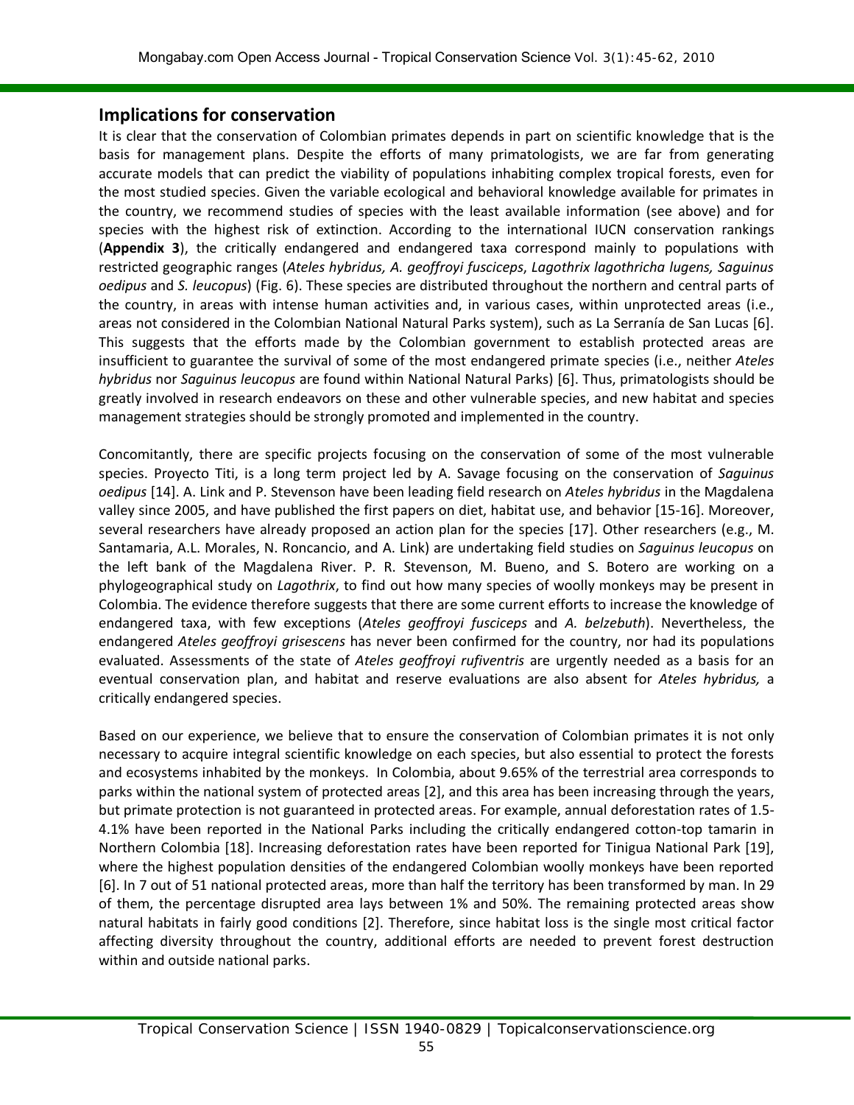### **Implications for conservation**

It is clear that the conservation of Colombian primates depends in part on scientific knowledge that is the basis for management plans. Despite the efforts of many primatologists, we are far from generating accurate models that can predict the viability of populations inhabiting complex tropical forests, even for the most studied species. Given the variable ecological and behavioral knowledge available for primates in the country, we recommend studies of species with the least available information (see above) and for species with the highest risk of extinction. According to the international IUCN conservation rankings (**Appendix 3**), the critically endangered and endangered taxa correspond mainly to populations with restricted geographic ranges (*Ateles hybridus, A. geoffroyi fusciceps*, *Lagothrix lagothricha lugens, Saguinus oedipus* and *S. leucopus*) (Fig. 6). These species are distributed throughout the northern and central parts of the country, in areas with intense human activities and, in various cases, within unprotected areas (i.e., areas not considered in the Colombian National Natural Parks system), such as La Serranía de San Lucas [6]. This suggests that the efforts made by the Colombian government to establish protected areas are insufficient to guarantee the survival of some of the most endangered primate species (i.e., neither *Ateles hybridus* nor *Saguinus leucopus* are found within National Natural Parks) [6]. Thus, primatologists should be greatly involved in research endeavors on these and other vulnerable species, and new habitat and species management strategies should be strongly promoted and implemented in the country.

Concomitantly, there are specific projects focusing on the conservation of some of the most vulnerable species. Proyecto Titi, is a long term project led by A. Savage focusing on the conservation of *Saguinus oedipus* [14]. A. Link and P. Stevenson have been leading field research on *Ateles hybridus* in the Magdalena valley since 2005, and have published the first papers on diet, habitat use, and behavior [15-16]. Moreover, several researchers have already proposed an action plan for the species [17]. Other researchers (e.g., M. Santamaria, A.L. Morales, N. Roncancio, and A. Link) are undertaking field studies on *Saguinus leucopus* on the left bank of the Magdalena River. P. R. Stevenson, M. Bueno, and S. Botero are working on a phylogeographical study on *Lagothrix*, to find out how many species of woolly monkeys may be present in Colombia. The evidence therefore suggests that there are some current efforts to increase the knowledge of endangered taxa, with few exceptions (*Ateles geoffroyi fusciceps* and *A. belzebuth*). Nevertheless, the endangered *Ateles geoffroyi grisescens* has never been confirmed for the country, nor had its populations evaluated. Assessments of the state of *Ateles geoffroyi rufiventris* are urgently needed as a basis for an eventual conservation plan, and habitat and reserve evaluations are also absent for *Ateles hybridus,* a critically endangered species.

Based on our experience, we believe that to ensure the conservation of Colombian primates it is not only necessary to acquire integral scientific knowledge on each species, but also essential to protect the forests and ecosystems inhabited by the monkeys. In Colombia, about 9.65% of the terrestrial area corresponds to parks within the national system of protected areas [2], and this area has been increasing through the years, but primate protection is not guaranteed in protected areas. For example, annual deforestation rates of 1.5- 4.1% have been reported in the National Parks including the critically endangered cotton-top tamarin in Northern Colombia [18]. Increasing deforestation rates have been reported for Tinigua National Park [19], where the highest population densities of the endangered Colombian woolly monkeys have been reported [6]. In 7 out of 51 national protected areas, more than half the territory has been transformed by man. In 29 of them, the percentage disrupted area lays between 1% and 50%. The remaining protected areas show natural habitats in fairly good conditions [2]. Therefore, since habitat loss is the single most critical factor affecting diversity throughout the country, additional efforts are needed to prevent forest destruction within and outside national parks.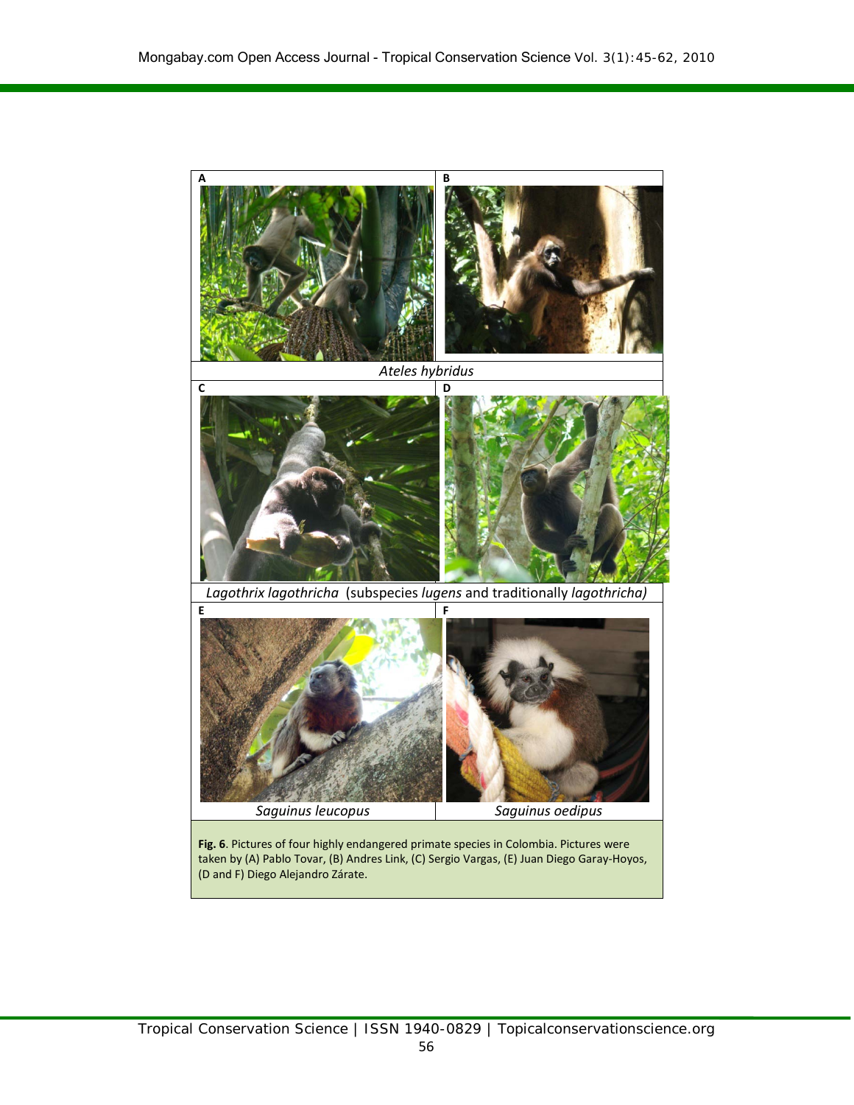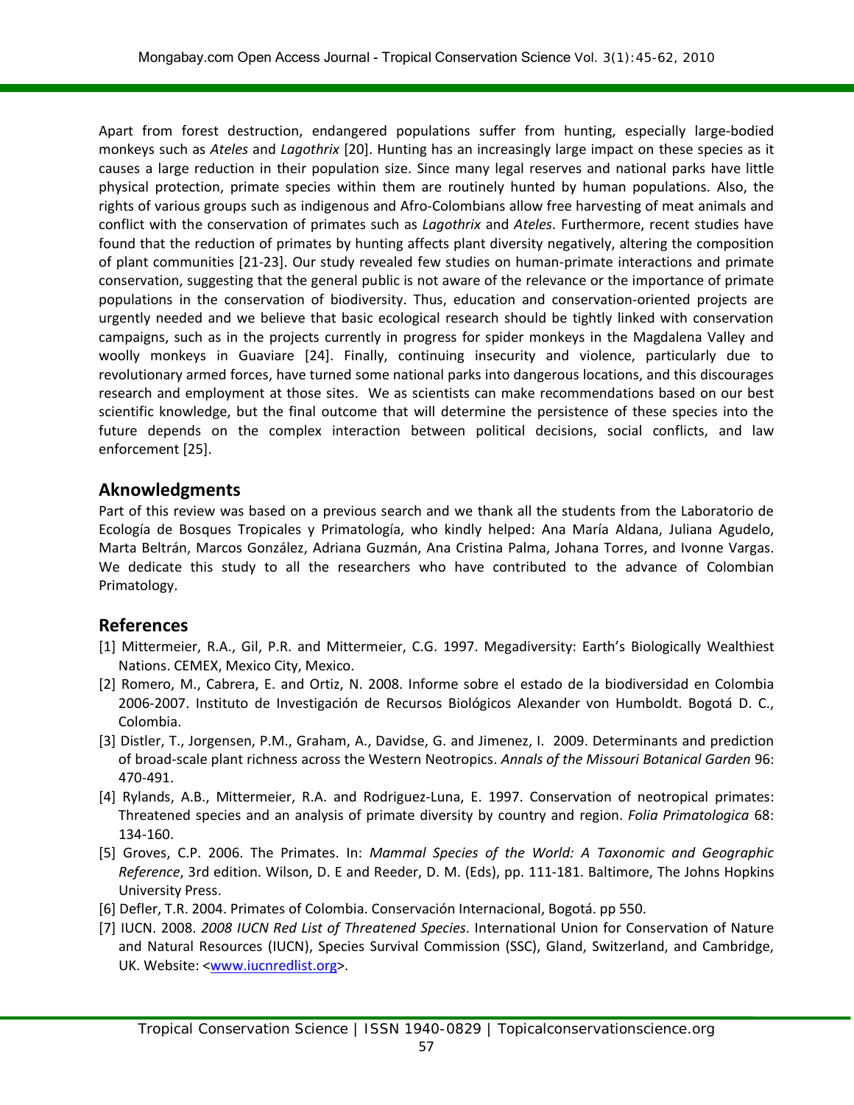Apart from forest destruction, endangered populations suffer from hunting, especially large-bodied monkeys such as *Ateles* and *Lagothrix* [20]. Hunting has an increasingly large impact on these species as it causes a large reduction in their population size. Since many legal reserves and national parks have little physical protection, primate species within them are routinely hunted by human populations. Also, the rights of various groups such as indigenous and Afro-Colombians allow free harvesting of meat animals and conflict with the conservation of primates such as *Lagothrix* and *Ateles*. Furthermore, recent studies have found that the reduction of primates by hunting affects plant diversity negatively, altering the composition of plant communities [21-23]. Our study revealed few studies on human-primate interactions and primate conservation, suggesting that the general public is not aware of the relevance or the importance of primate populations in the conservation of biodiversity. Thus, education and conservation-oriented projects are urgently needed and we believe that basic ecological research should be tightly linked with conservation campaigns, such as in the projects currently in progress for spider monkeys in the Magdalena Valley and woolly monkeys in Guaviare [24]. Finally, continuing insecurity and violence, particularly due to revolutionary armed forces, have turned some national parks into dangerous locations, and this discourages research and employment at those sites. We as scientists can make recommendations based on our best scientific knowledge, but the final outcome that will determine the persistence of these species into the future depends on the complex interaction between political decisions, social conflicts, and law enforcement [25].

# **Aknowledgments**

Part of this review was based on a previous search and we thank all the students from the Laboratorio de Ecología de Bosques Tropicales y Primatología, who kindly helped: Ana María Aldana, Juliana Agudelo, Marta Beltrán, Marcos González, Adriana Guzmán, Ana Cristina Palma, Johana Torres, and Ivonne Vargas. We dedicate this study to all the researchers who have contributed to the advance of Colombian Primatology.

# **References**

- [1] Mittermeier, R.A., Gil, P.R. and Mittermeier, C.G. 1997. Megadiversity: Earth's Biologically Wealthiest Nations. CEMEX, Mexico City, Mexico.
- [2] Romero, M., Cabrera, E. and Ortiz, N. 2008. Informe sobre el estado de la biodiversidad en Colombia 2006-2007. Instituto de Investigación de Recursos Biológicos Alexander von Humboldt. Bogotá D. C., Colombia.
- [3] Distler, T., Jorgensen, P.M., Graham, A., Davidse, G. and Jimenez, I. 2009. Determinants and prediction of broad-scale plant richness across the Western Neotropics. *Annals of the Missouri Botanical Garden* 96: 470-491.
- [4] Rylands, A.B., Mittermeier, R.A. and Rodriguez-Luna, E. 1997. Conservation of neotropical primates: Threatened species and an analysis of primate diversity by country and region. *Folia Primatologica* 68: 134-160.
- [5] Groves, C.P. 2006. The Primates. In: *Mammal Species of the World: A Taxonomic and Geographic Reference*, 3rd edition. Wilson, D. E and Reeder, D. M. (Eds), pp. 111-181. Baltimore, The Johns Hopkins University Press.
- [6] Defler, T.R. 2004. Primates of Colombia. Conservación Internacional, Bogotá. pp 550.
- [7] IUCN. 2008. *2008 IUCN Red List of Threatened Species*. International Union for Conservation of Nature and Natural Resources (IUCN), Species Survival Commission (SSC), Gland, Switzerland, and Cambridge, UK. Website: <**www.iucnredlist.org>**.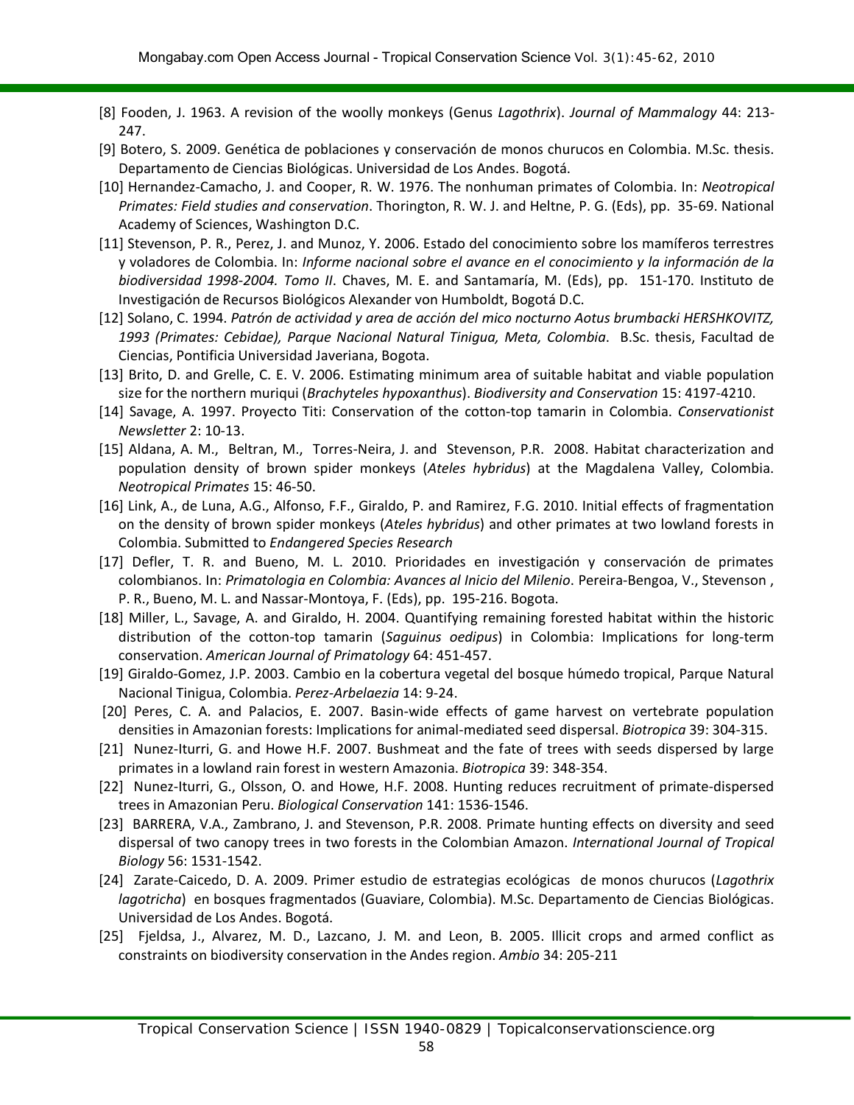- [8] Fooden, J. 1963. A revision of the woolly monkeys (Genus *Lagothrix*). *Journal of Mammalogy* 44: 213- 247.
- [9] Botero, S. 2009. Genética de poblaciones y conservación de monos churucos en Colombia. M.Sc. thesis. Departamento de Ciencias Biológicas. Universidad de Los Andes. Bogotá.
- [10] Hernandez-Camacho, J. and Cooper, R. W. 1976. The nonhuman primates of Colombia. In: *Neotropical Primates: Field studies and conservation*. Thorington, R. W. J. and Heltne, P. G. (Eds), pp. 35-69. National Academy of Sciences, Washington D.C.
- [11] Stevenson, P. R., Perez, J. and Munoz, Y. 2006. Estado del conocimiento sobre los mamíferos terrestres y voladores de Colombia. In: *Informe nacional sobre el avance en el conocimiento y la información de la biodiversidad 1998-2004. Tomo II*. Chaves, M. E. and Santamaría, M. (Eds), pp. 151-170. Instituto de Investigación de Recursos Biológicos Alexander von Humboldt, Bogotá D.C.
- [12] Solano, C. 1994. *Patrón de actividad y area de acción del mico nocturno Aotus brumbacki HERSHKOVITZ, 1993 (Primates: Cebidae), Parque Nacional Natural Tinigua, Meta, Colombia*. B.Sc. thesis, Facultad de Ciencias, Pontificia Universidad Javeriana, Bogota.
- [13] Brito, D. and Grelle, C. E. V. 2006. Estimating minimum area of suitable habitat and viable population size for the northern muriqui (*Brachyteles hypoxanthus*). *Biodiversity and Conservation* 15: 4197-4210.
- [14] Savage, A. 1997. Proyecto Titi: Conservation of the cotton-top tamarin in Colombia. *Conservationist Newsletter* 2: 10-13.
- [15] Aldana, A. M., Beltran, M., Torres-Neira, J. and Stevenson, P.R. 2008. Habitat characterization and population density of brown spider monkeys (*Ateles hybridus*) at the Magdalena Valley, Colombia. *Neotropical Primates* 15: 46-50.
- [16] Link, A., de Luna, A.G., Alfonso, F.F., Giraldo, P. and Ramirez, F.G. 2010. Initial effects of fragmentation on the density of brown spider monkeys (*Ateles hybridus*) and other primates at two lowland forests in Colombia. Submitted to *Endangered Species Research*
- [17] Defler, T. R. and Bueno, M. L. 2010. Prioridades en investigación y conservación de primates colombianos. In: *Primatologia en Colombia: Avances al Inicio del Milenio*. Pereira-Bengoa, V., Stevenson , P. R., Bueno, M. L. and Nassar-Montoya, F. (Eds), pp. 195-216. Bogota.
- [18] Miller, L., Savage, A. and Giraldo, H. 2004. Quantifying remaining forested habitat within the historic distribution of the cotton-top tamarin (*Saguinus oedipus*) in Colombia: Implications for long-term conservation. *American Journal of Primatology* 64: 451-457.
- [19] Giraldo-Gomez, J.P. 2003. Cambio en la cobertura vegetal del bosque húmedo tropical, Parque Natural Nacional Tinigua, Colombia. *Perez-Arbelaezia* 14: 9-24.
- [20] Peres, C. A. and Palacios, E. 2007. Basin-wide effects of game harvest on vertebrate population densities in Amazonian forests: Implications for animal-mediated seed dispersal. *Biotropica* 39: 304-315.
- [21] Nunez-Iturri, G. and Howe H.F. 2007. Bushmeat and the fate of trees with seeds dispersed by large primates in a lowland rain forest in western Amazonia. *Biotropica* 39: 348-354.
- [22] Nunez-Iturri, G., Olsson, O. and Howe, H.F. 2008. Hunting reduces recruitment of primate-dispersed trees in Amazonian Peru. *Biological Conservation* 141: 1536-1546.
- [23] BARRERA, V.A., Zambrano, J. and Stevenson, P.R. 2008. Primate hunting effects on diversity and seed dispersal of two canopy trees in two forests in the Colombian Amazon. *International Journal of Tropical Biology* 56: 1531-1542.
- [24] Zarate-Caicedo, D. A. 2009. Primer estudio de estrategias ecológicas de monos churucos (*Lagothrix lagotricha*) en bosques fragmentados (Guaviare, Colombia). M.Sc. Departamento de Ciencias Biológicas. Universidad de Los Andes. Bogotá.
- [25] Fjeldsa, J., Alvarez, M. D., Lazcano, J. M. and Leon, B. 2005. Illicit crops and armed conflict as constraints on biodiversity conservation in the Andes region. *Ambio* 34: 205-211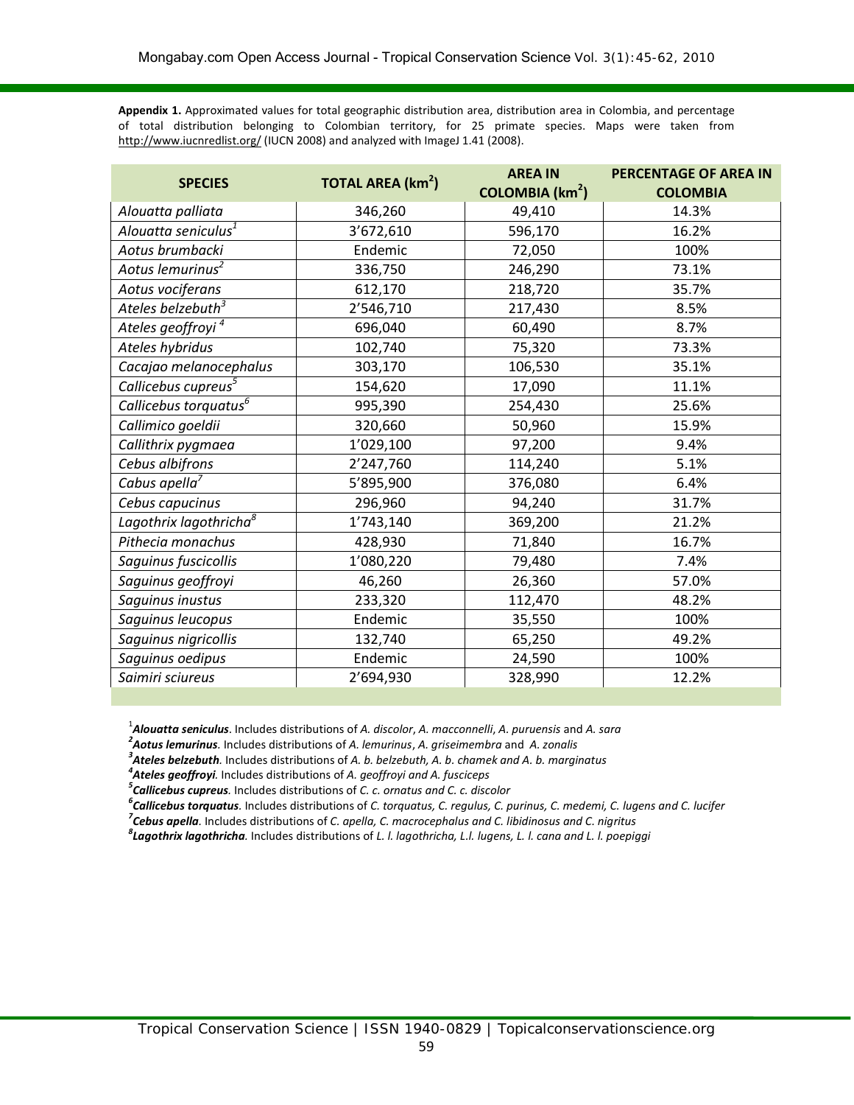**Appendix 1.** Approximated values for total geographic distribution area, distribution area in Colombia, and percentage of total distribution belonging to Colombian territory, for 25 primate species. Maps were taken from <http://www.iucnredlist.org/> (IUCN 2008) and analyzed with ImageJ 1.41 (2008).

| <b>SPECIES</b>                     | <b>TOTAL AREA (km<sup>2</sup>)</b> | <b>AREA IN</b>              | <b>PERCENTAGE OF AREA IN</b> |  |  |
|------------------------------------|------------------------------------|-----------------------------|------------------------------|--|--|
|                                    |                                    | COLOMBIA (km <sup>2</sup> ) | <b>COLOMBIA</b>              |  |  |
| Alouatta palliata                  | 346,260                            | 49,410                      | 14.3%                        |  |  |
| Alouatta seniculus <sup>1</sup>    | 3'672,610                          | 596,170                     | 16.2%                        |  |  |
| Aotus brumbacki                    | Endemic                            | 72,050                      | 100%                         |  |  |
| Aotus lemurinus <sup>2</sup>       | 336,750                            | 246,290                     | 73.1%                        |  |  |
| Aotus vociferans                   | 612,170                            | 218,720                     | 35.7%                        |  |  |
| Ateles belzebuth <sup>3</sup>      | 2'546,710                          | 217,430                     | 8.5%                         |  |  |
| Ateles geoffroyi <sup>4</sup>      | 696,040                            | 60,490                      | 8.7%                         |  |  |
| Ateles hybridus                    | 102,740                            | 75,320                      | 73.3%                        |  |  |
| Cacajao melanocephalus             | 303,170                            | 106,530                     | 35.1%                        |  |  |
| Callicebus cupreus <sup>5</sup>    | 154,620                            | 17,090                      | 11.1%                        |  |  |
| Callicebus torquatus <sup>6</sup>  | 995,390                            | 254,430                     | 25.6%                        |  |  |
| Callimico goeldii                  | 320,660                            | 50,960                      | 15.9%                        |  |  |
| Callithrix pygmaea                 | 1'029,100                          | 97,200                      | 9.4%                         |  |  |
| Cebus albifrons                    | 2'247,760                          | 114,240                     | 5.1%                         |  |  |
| Cabus apella <sup>7</sup>          | 5'895,900                          | 376,080                     | 6.4%                         |  |  |
| Cebus capucinus                    | 296,960                            | 94,240                      | 31.7%                        |  |  |
| Lagothrix lagothricha <sup>8</sup> | 1'743,140                          | 369,200                     | 21.2%                        |  |  |
| Pithecia monachus                  | 428,930                            | 71,840                      | 16.7%                        |  |  |
| Saguinus fuscicollis               | 1'080,220                          | 79,480                      | 7.4%                         |  |  |
| Saguinus geoffroyi                 | 46,260                             | 26,360                      | 57.0%                        |  |  |
| Saguinus inustus                   | 233,320                            | 112,470                     | 48.2%                        |  |  |
| Saguinus leucopus                  | Endemic                            | 35,550                      | 100%                         |  |  |
| Saguinus nigricollis               | 132,740                            | 65,250                      | 49.2%                        |  |  |
| Saguinus oedipus                   | Endemic                            | 24,590                      | 100%                         |  |  |
| Saimiri sciureus                   | 2'694,930                          | 328,990                     | 12.2%                        |  |  |

1 *Alouatta seniculus*. Includes distributions of *A. discolor*, *A. macconnelli*, *A. puruensis* and *A. sara <sup>2</sup>*

*Aotus lemurinus.* Includes distributions of *A. lemurinus*, *A. griseimembra* and *A. zonalis <sup>3</sup>*

*Ateles belzebuth.* Includes distributions of *A. b. belzebuth, A. b. chamek and A. b. marginatus <sup>4</sup>*

*Ateles geoffroyi.* Includes distributions of *A. geoffroyi and A. fusciceps <sup>5</sup>*

*Callicebus cupreus.* Includes distributions of *C. c. ornatus and C. c. discolor <sup>6</sup>*

*Callicebus torquatus.* Includes distributions of *C. torquatus, C. regulus, C. purinus, C. medemi, C. lugens and C. lucifer <sup>7</sup>*

*Cebus apella.* Includes distributions of *C. apella, C. macrocephalus and C. libidinosus and C. nigritus <sup>8</sup>*

*Lagothrix lagothricha.* Includes distributions of *L. l. lagothricha, L.l. lugens, L. l. cana and L. l. poepiggi*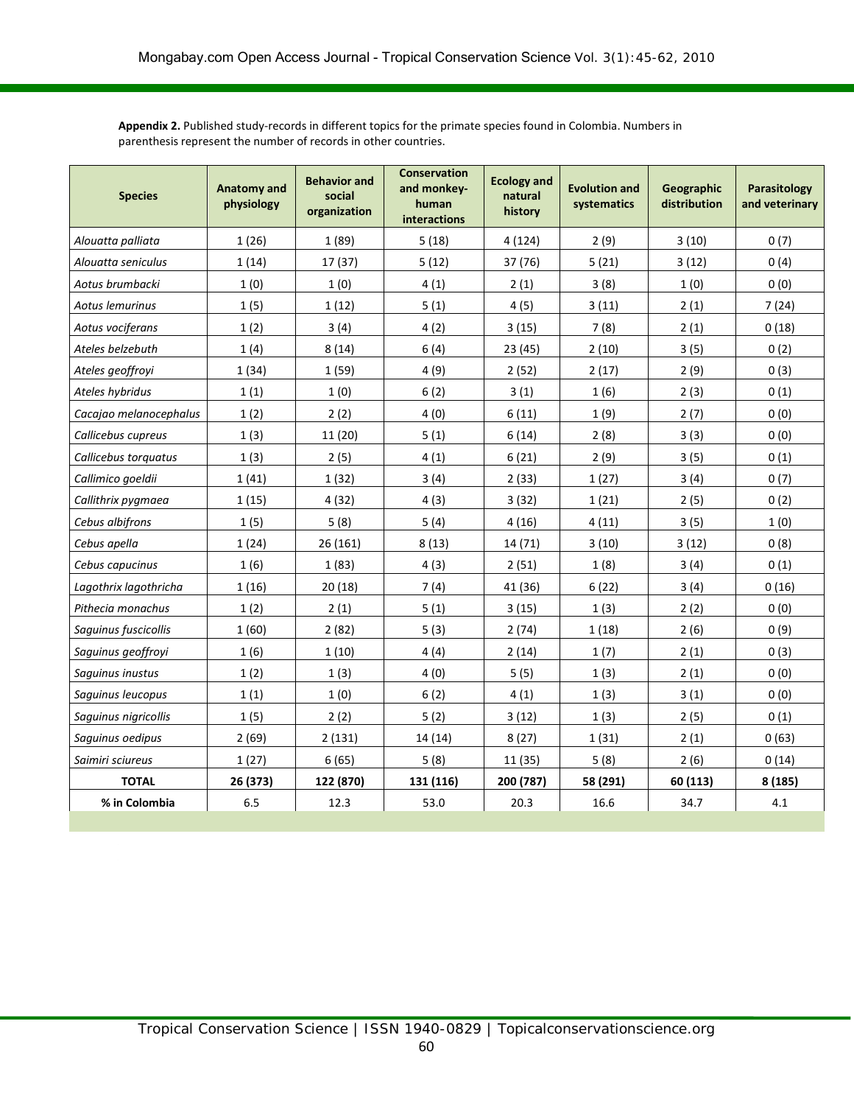**Appendix 2.** Published study-records in different topics for the primate species found in Colombia. Numbers in parenthesis represent the number of records in other countries.

| <b>Species</b>         | <b>Anatomy and</b><br>physiology | <b>Behavior and</b><br>social<br>organization | <b>Conservation</b><br><b>Ecology and</b><br>and monkey-<br>natural<br>human<br>history<br><b>interactions</b> |                         | <b>Evolution and</b><br>systematics | Geographic<br>distribution | Parasitology<br>and veterinary |  |
|------------------------|----------------------------------|-----------------------------------------------|----------------------------------------------------------------------------------------------------------------|-------------------------|-------------------------------------|----------------------------|--------------------------------|--|
| Alouatta palliata      | 1(26)                            | 1(89)                                         | 5(18)                                                                                                          | 4(124)<br>2(9)<br>3(10) |                                     |                            | 0(7)                           |  |
| Alouatta seniculus     | 1(14)                            | 17 (37)                                       | 5(12)                                                                                                          | 37 (76)                 | 5(21)                               | 3(12)                      | 0(4)                           |  |
| Aotus brumbacki        | 1(0)                             | 1(0)                                          | 4(1)                                                                                                           | 2(1)                    | 3(8)                                | 1(0)                       | 0(0)                           |  |
| Aotus lemurinus        | 1(5)                             | 1(12)                                         | 5(1)                                                                                                           | 4(5)                    | 3(11)                               | 2(1)                       | 7(24)                          |  |
| Aotus vociferans       | 1(2)                             | 3(4)                                          | 4(2)                                                                                                           | 3(15)                   | 7(8)                                | 2(1)                       | 0(18)                          |  |
| Ateles belzebuth       | 1(4)                             | 8(14)                                         | 6(4)                                                                                                           | 23(45)                  | 2(10)                               | 3(5)                       | 0(2)                           |  |
| Ateles geoffroyi       | 1(34)                            | 1(59)                                         | 4(9)                                                                                                           | 2(52)                   | 2(17)                               | 2(9)                       | 0(3)                           |  |
| Ateles hybridus        | 1(1)                             | 1(0)                                          | 6(2)                                                                                                           | 3(1)                    | 1(6)                                | 2(3)                       | 0(1)                           |  |
| Cacajao melanocephalus | 1(2)                             | 2(2)                                          | 4(0)                                                                                                           | 6(11)                   | 1(9)                                | 2(7)                       | 0(0)                           |  |
| Callicebus cupreus     | 1(3)                             | 11 (20)                                       | 5(1)                                                                                                           | 6(14)                   | 2(8)                                | 3(3)                       | 0(0)                           |  |
| Callicebus torquatus   | 1(3)                             | 2(5)                                          | 4(1)                                                                                                           | 6(21)                   | 2(9)                                | 3(5)                       | 0(1)                           |  |
| Callimico goeldii      | 1(41)                            | 1(32)                                         | 3(4)                                                                                                           | 2(33)                   | 1(27)                               | 3(4)                       | 0(7)                           |  |
| Callithrix pygmaea     | 1(15)                            | 4(32)                                         | 4(3)                                                                                                           | 3(32)                   | 1(21)                               | 2(5)                       | 0(2)                           |  |
| Cebus albifrons        | 1(5)                             | 5(8)                                          | 5(4)                                                                                                           | 4(16)                   | 4(11)                               | 3(5)                       | 1(0)                           |  |
| Cebus apella           | 1(24)                            | 26 (161)                                      | 8(13)                                                                                                          | 14 (71)                 | 3(10)                               | 3(12)                      | 0(8)                           |  |
| Cebus capucinus        | 1(6)                             | 1(83)                                         | 4(3)                                                                                                           | 2(51)                   | 1(8)                                | 3(4)                       | 0(1)                           |  |
| Lagothrix lagothricha  | 1(16)                            | 20(18)                                        | 7(4)                                                                                                           | 41 (36)                 | 6(22)                               | 3(4)                       | 0(16)                          |  |
| Pithecia monachus      | 1(2)                             | 2(1)                                          | 5(1)                                                                                                           | 3(15)                   | 1(3)                                | 2(2)                       | 0(0)                           |  |
| Saguinus fuscicollis   | 1(60)                            | 2(82)                                         | 5(3)                                                                                                           | 2(74)                   | 1(18)                               | 2(6)                       | 0(9)                           |  |
| Saguinus geoffroyi     | 1(6)                             | 1(10)                                         | 4(4)                                                                                                           | 2(14)                   | 1(7)                                | 2(1)                       | 0(3)                           |  |
| Saguinus inustus       | 1(2)                             | 1(3)                                          | 4(0)                                                                                                           | 5(5)                    | 1(3)<br>2(1)                        |                            | 0(0)                           |  |
| Saguinus leucopus      | 1(1)                             | 1(0)                                          | 6(2)                                                                                                           | 4(1)                    | 1(3)                                | 3(1)                       | 0(0)                           |  |
| Saguinus nigricollis   | 1(5)                             | 2(2)                                          | 5(2)                                                                                                           | 3(12)                   | 1(3)                                | 2(5)                       | 0(1)                           |  |
| Saguinus oedipus       | 2(69)                            | 2(131)                                        | 14 (14)                                                                                                        | 8(27)                   | 1(31)                               | 2(1)                       | 0(63)                          |  |
| Saimiri sciureus       | 1(27)                            | 6(65)                                         | 5(8)                                                                                                           | 11 (35)                 | 5(8)                                | 2(6)                       | 0(14)                          |  |
| <b>TOTAL</b>           | 26 (373)                         | 122 (870)                                     | 131 (116)                                                                                                      | 200 (787)               | 58 (291)                            | 60 (113)                   | 8 (185)                        |  |
| % in Colombia          | 6.5                              | 12.3                                          | 53.0                                                                                                           | 20.3                    | 16.6                                | 34.7                       | 4.1                            |  |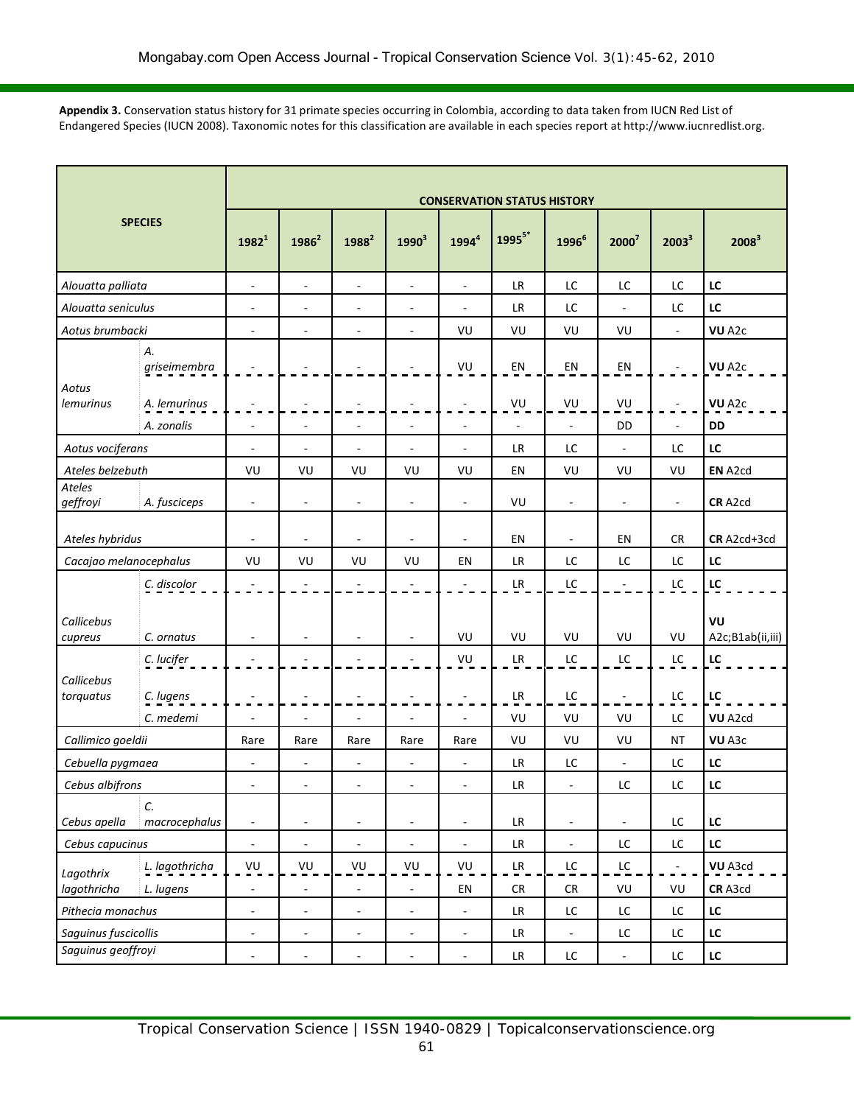**Appendix 3.** Conservation status history for 31 primate species occurring in Colombia, according to data taken from IUCN Red List of Endangered Species (IUCN 2008). Taxonomic notes for this classification are available in each species report at http://www.iucnredlist.org.

| <b>SPECIES</b>                      |                    | <b>CONSERVATION STATUS HISTORY</b> |                          |                          |                          |                          |                                   |                          |                          |                          |                        |  |
|-------------------------------------|--------------------|------------------------------------|--------------------------|--------------------------|--------------------------|--------------------------|-----------------------------------|--------------------------|--------------------------|--------------------------|------------------------|--|
|                                     |                    | $1982^{1}$                         | $1986^2$                 | 1988 <sup>2</sup>        | 1990 <sup>3</sup>        | $1994^4$                 | $1995^{5*}$                       | 1996 <sup>6</sup>        | 2000 <sup>7</sup>        | $2003^3$                 | 2008 <sup>3</sup>      |  |
| Alouatta palliata                   |                    | $\overline{\phantom{a}}$           | $\overline{\phantom{a}}$ | $\overline{\phantom{a}}$ | $\overline{\phantom{a}}$ | $\overline{\phantom{a}}$ | <b>LR</b>                         | LC                       | LC                       | LC                       | LC                     |  |
| Alouatta seniculus                  |                    | $\overline{\phantom{a}}$           | $\overline{\phantom{a}}$ | $\overline{\phantom{a}}$ | $\overline{\phantom{a}}$ | $\overline{\phantom{a}}$ | LR                                | LC                       | $\blacksquare$           | LC                       | LC                     |  |
| Aotus brumbacki                     |                    | $\overline{\phantom{a}}$           | $\overline{\phantom{a}}$ | $\overline{\phantom{a}}$ | $\overline{\phantom{a}}$ | VU                       | VU                                | VU                       | VU                       | $\blacksquare$           | VU A <sub>2c</sub>     |  |
| Aotus                               | А.<br>griseimembra |                                    |                          |                          |                          | VU                       | ΕN                                | EN                       | EN                       | $\overline{\phantom{a}}$ | VU A <sub>2c</sub>     |  |
| <b>lemurinus</b>                    | A. lemurinus       |                                    |                          |                          |                          | $\overline{\phantom{a}}$ | VU                                | VU                       | VU                       |                          | VU A <sub>2c</sub>     |  |
|                                     | A. zonalis         | $\overline{\phantom{a}}$           | $\overline{\phantom{a}}$ | $\overline{\phantom{a}}$ | $\overline{\phantom{a}}$ | $\overline{\phantom{a}}$ | $\blacksquare$                    | $\overline{\phantom{a}}$ | DD                       | $\overline{\phantom{a}}$ | <b>DD</b>              |  |
| Aotus vociferans                    |                    | $\overline{\phantom{a}}$           | $\blacksquare$           | $\overline{\phantom{a}}$ | $\overline{\phantom{a}}$ | $\overline{\phantom{a}}$ | LR                                | LC                       | $\blacksquare$           | LC                       | LC                     |  |
| Ateles belzebuth                    |                    | VU                                 | VU                       | VU                       | VU                       | VU                       | EN                                | VU                       | VU                       | VU                       | EN A2cd                |  |
| Ateles<br>geffroyi                  | A. fusciceps       | $\overline{\phantom{a}}$           | $\overline{\phantom{a}}$ | $\overline{\phantom{a}}$ | $\overline{\phantom{a}}$ | $\overline{\phantom{a}}$ | VU                                | $\overline{\phantom{a}}$ | $\blacksquare$           | $\sim$                   | CR A2cd                |  |
| Ateles hybridus                     |                    | $\overline{\phantom{a}}$           | $\overline{\phantom{a}}$ | $\overline{\phantom{a}}$ | $\overline{\phantom{a}}$ | $\overline{\phantom{a}}$ | EN                                | $\overline{\phantom{0}}$ | EN                       | <b>CR</b>                | CR A2cd+3cd            |  |
| Cacajao melanocephalus              |                    | VU                                 | VU                       | VU                       | VU                       | EN                       | <b>LR</b>                         | LC                       | LC                       | LC                       | LC                     |  |
|                                     | C. discolor        |                                    |                          |                          |                          |                          | LR.                               | LC                       | $\overline{\phantom{a}}$ | LC                       | LC                     |  |
| Callicebus<br>cupreus               | C. ornatus         | $\sim$                             | $\overline{\phantom{a}}$ | $\sim$                   | $\overline{a}$           | VU                       | VU                                | VU                       | VU                       | VU                       | VU<br>A2c;B1ab(ii,iii) |  |
|                                     | C. lucifer         |                                    |                          |                          |                          | VU                       | LR                                | LC                       | LC                       | LC                       | LC                     |  |
| Callicebus<br>torquatus             | C. lugens          |                                    |                          |                          |                          | $\overline{\phantom{a}}$ | LR.                               | LC                       | $\overline{\phantom{a}}$ | LC                       | LC                     |  |
|                                     | C. medemi          | ÷,                                 | ÷,                       | $\overline{\phantom{a}}$ | $\overline{a}$           | $\overline{\phantom{a}}$ | VU                                | VU                       | VU                       | LC                       | VU A2cd                |  |
| Callimico goeldii                   |                    | Rare                               | Rare                     | Rare                     | Rare                     | Rare                     | VU                                | VU                       | VU                       | <b>NT</b>                | VU A3c                 |  |
| Cebuella pygmaea                    |                    | $\overline{a}$                     | $\overline{\phantom{m}}$ | $\overline{\phantom{a}}$ | $\overline{\phantom{a}}$ | $\overline{\phantom{a}}$ | <b>LR</b>                         | LC                       | $\overline{\phantom{a}}$ | LC                       | LC                     |  |
| Cebus albifrons                     |                    | $\overline{\phantom{a}}$           | ÷,                       | $\overline{\phantom{a}}$ | $\overline{\phantom{a}}$ | $\overline{\phantom{a}}$ | <b>LR</b>                         | L,                       | LC                       | LC                       | LC                     |  |
| C.<br>Cebus apella<br>macrocephalus |                    | $\overline{\phantom{a}}$           | $\overline{\phantom{a}}$ | $\overline{\phantom{a}}$ | $\Box$                   | $\overline{\phantom{a}}$ | ${\sf LR}$                        | $\overline{\phantom{a}}$ | $\blacksquare$           | $\mathsf{LC}$            | ${\sf LC}$             |  |
| Cebus capucinus                     |                    | $\Box$                             | $\Box$                   | $\blacksquare$           | $\overline{\phantom{a}}$ | $\blacksquare$           | LR                                | $\overline{\phantom{a}}$ | LC                       | $\mathsf{LC}$            | LC                     |  |
| Lagothrix                           | L. lagothricha     | VU                                 | VU                       | VU                       | VU                       | VU                       | LR                                | $\mathsf{LC}$            | LC                       | $\omega_{\rm c}$         | VU A3cd                |  |
| lagothricha                         | L. lugens          | $\overline{a}$                     | $\blacksquare$           | $\overline{\phantom{a}}$ |                          | EN                       | ${\sf CR}$                        | ${\sf CR}$               | VU                       | VU                       | CR A3cd                |  |
| Pithecia monachus                   |                    | $\Box$                             | $\overline{\phantom{a}}$ | $\overline{\phantom{a}}$ | $\overline{\phantom{a}}$ | $\blacksquare$           | LR                                | LC                       | $\mathsf{LC}$            | LC                       | $\mathsf{LC}$          |  |
| Saguinus fuscicollis                |                    | $\overline{\phantom{a}}$           | $\Box$                   | $\blacksquare$           | $\Box$                   | $\overline{\phantom{a}}$ | LR                                | $\blacksquare$           | LC                       | $\mathsf{LC}$            | LC                     |  |
| Saguinus geoffroyi                  |                    | $\overline{\phantom{a}}$           | ä,                       | $\sim$                   | ÷,                       | $\overline{\phantom{a}}$ | $\ensuremath{\mathsf{LR}}\xspace$ | LC                       | $\blacksquare$           | $\mathsf{LC}$            | LC                     |  |